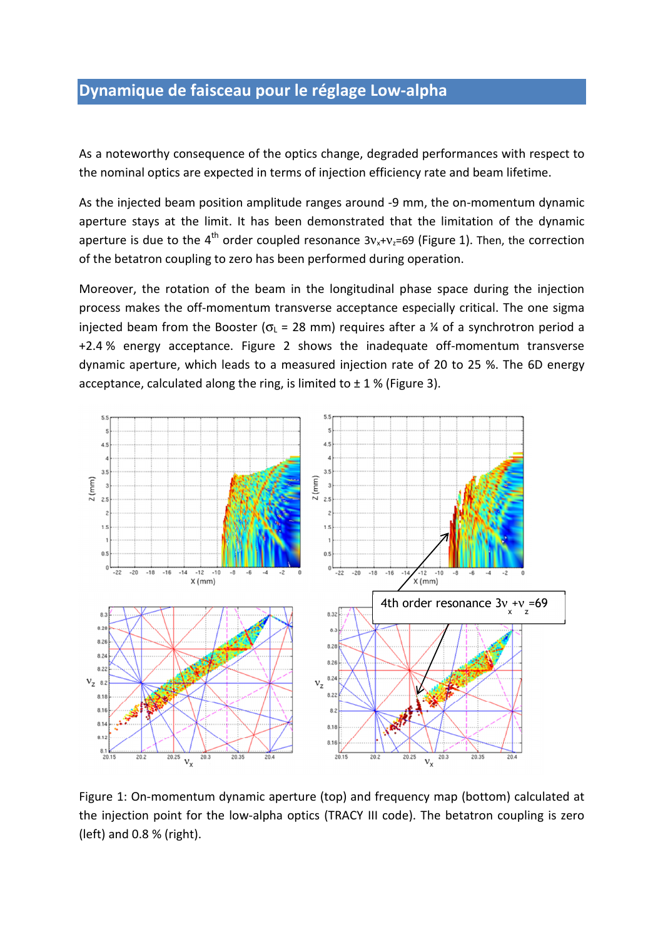## Dynamique de faisceau pour le réglage Low-alpha

As a noteworthy consequence of the optics change, degraded performances with respect to the nominal optics are expected in terms of injection efficiency rate and beam lifetime.

As the injected beam position amplitude ranges around -9 mm, the on-momentum dynamic aperture stays at the limit. It has been demonstrated that the limitation of the dynamic aperture is due to the 4<sup>th</sup> order coupled resonance  $3v_x+v_z=69$  (Figure 1). Then, the correction of the betatron coupling to zero has been performed during operation.

Moreover, the rotation of the beam in the longitudinal phase space during the injection process makes the off-momentum transverse acceptance especially critical. The one sigma injected beam from the Booster ( $\sigma$ <sub>L</sub> = 28 mm) requires after a ¼ of a synchrotron period a +2.4 % energy acceptance. Figure 2 shows the inadequate off-momentum transverse dynamic aperture, which leads to a measured injection rate of 20 to 25 %. The 6D energy acceptance, calculated along the ring, is limited to  $\pm$  1 % (Figure 3).



Figure 1: On-momentum dynamic aperture (top) and frequency map (bottom) calculated at the injection point for the low-alpha optics (TRACY III code). The betatron coupling is zero (left) and 0.8 % (right).